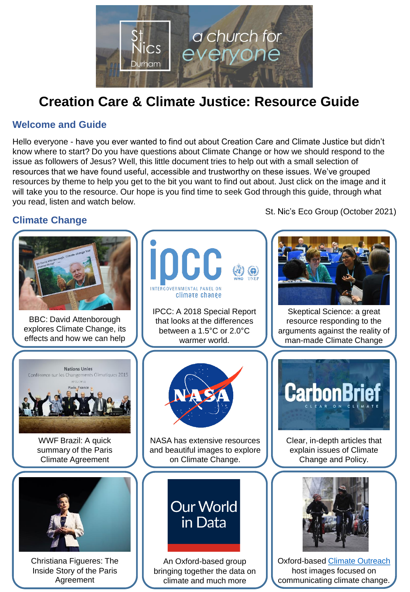

# **Creation Care & Climate Justice: Resource Guide**

#### **Welcome and Guide**

Hello everyone - have you ever wanted to find out about Creation Care and Climate Justice but didn't know where to start? Do you have questions about Climate Change or how we should respond to the issue as followers of Jesus? Well, this little document tries to help out with a small selection of resources that we have found useful, accessible and trustworthy on these issues. We've grouped resources by theme to help you get to the bit you want to find out about. Just click on the image and it will take you to the resource. Our hope is you find time to seek God through this guide, through what you read, listen and watch below.

St. Nic's Eco Group (October 2021)

### **Climate Change**

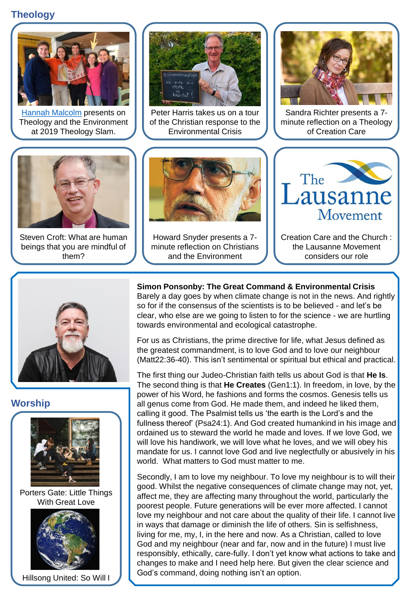## **Theology**



[Hannah Malcolm](https://hannahmmalcolm.wordpress.com/) presents on Theology and the Environment at 2019 Theology Slam.



Peter Harris takes us on a tour of the Christian response to the Environmental Crisis



Sandra Richter presents a 7 minute reflection on a Theology of Creation Care



Steven Croft: What are human beings that you are mindful of them?



Howard Snyder presents a 7 minute reflection on Christians and the Environment



Creation Care and the Church : the Lausanne Movement considers our role



**Worship**



Porters Gate: Little Things With Great Love



Hillsong United: So Will I

**Simon Ponsonby: The Great Command & Environmental Crisis** Barely a day goes by when climate change is not in the news. And rightly so for if the consensus of the scientists is to be believed - and let's be clear, who else are we going to listen to for the science - we are hurtling towards environmental and ecological catastrophe.

For us as Christians, the prime directive for life, what Jesus defined as the greatest commandment, is to love God and to love our neighbour (Matt22:36-40). This isn't sentimental or spiritual but ethical and practical.

The first thing our Judeo-Christian faith tells us about God is that **He Is**. The second thing is that **He Creates** (Gen1:1). In freedom, in love, by the power of his Word, he fashions and forms the cosmos. Genesis tells us all genus come from God. He made them, and indeed he liked them, calling it good. The Psalmist tells us 'the earth is the Lord's and the fullness thereof' (Psa24:1). And God created humankind in his image and ordained us to steward the world he made and loves. If we love God, we will love his handiwork, we will love what he loves, and we will obey his mandate for us. I cannot love God and live neglectfully or abusively in his world. What matters to God must matter to me.

Secondly, I am to love my neighbour. To love my neighbour is to will their good. Whilst the negative consequences of climate change may not, yet, affect me, they are affecting many throughout the world, particularly the poorest people. Future generations will be ever more affected. I cannot love my neighbour and not care about the quality of their life. I cannot live in ways that damage or diminish the life of others. Sin is selfishness, living for me, my, I, in the here and now. As a Christian, called to love God and my neighbour (near and far, now and in the future) I must live responsibly, ethically, care-fully. I don't yet know what actions to take and changes to make and I need help here. But given the clear science and God's command, doing nothing isn't an option.